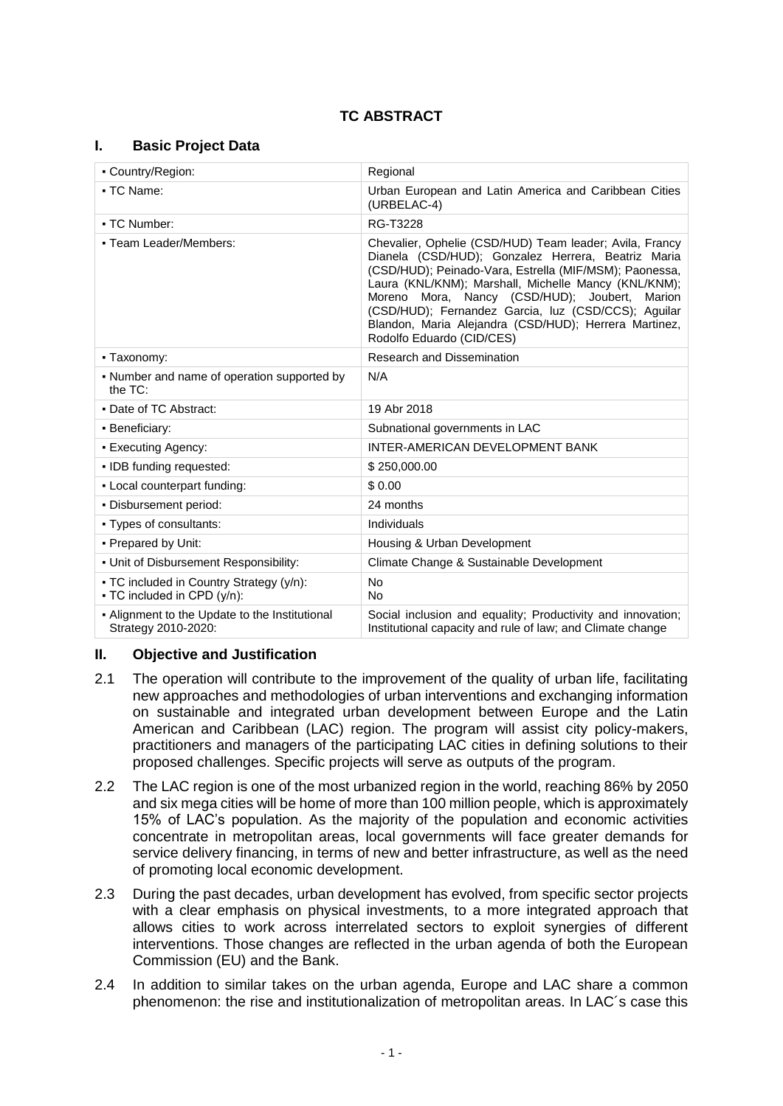## **I. Basic Project Data**

| - Country/Region:                                                       | Regional                                                                                                                                                                                                                                                                                                                                                                                                                         |  |  |
|-------------------------------------------------------------------------|----------------------------------------------------------------------------------------------------------------------------------------------------------------------------------------------------------------------------------------------------------------------------------------------------------------------------------------------------------------------------------------------------------------------------------|--|--|
| • TC Name:                                                              | Urban European and Latin America and Caribbean Cities<br>(URBELAC-4)                                                                                                                                                                                                                                                                                                                                                             |  |  |
| • TC Number:                                                            | RG-T3228                                                                                                                                                                                                                                                                                                                                                                                                                         |  |  |
| - Team Leader/Members:                                                  | Chevalier, Ophelie (CSD/HUD) Team leader; Avila, Francy<br>Dianela (CSD/HUD); Gonzalez Herrera, Beatriz Maria<br>(CSD/HUD); Peinado-Vara, Estrella (MIF/MSM); Paonessa,<br>Laura (KNL/KNM); Marshall, Michelle Mancy (KNL/KNM);<br>Moreno Mora, Nancy (CSD/HUD); Joubert,<br>Marion<br>(CSD/HUD); Fernandez Garcia, luz (CSD/CCS); Aguilar<br>Blandon, Maria Alejandra (CSD/HUD); Herrera Martinez,<br>Rodolfo Eduardo (CID/CES) |  |  |
| - Taxonomy:                                                             | <b>Research and Dissemination</b>                                                                                                                                                                                                                                                                                                                                                                                                |  |  |
| • Number and name of operation supported by<br>the TC:                  | N/A                                                                                                                                                                                                                                                                                                                                                                                                                              |  |  |
| • Date of TC Abstract:                                                  | 19 Abr 2018                                                                                                                                                                                                                                                                                                                                                                                                                      |  |  |
| • Beneficiary:                                                          | Subnational governments in LAC                                                                                                                                                                                                                                                                                                                                                                                                   |  |  |
| • Executing Agency:                                                     | INTER-AMERICAN DEVELOPMENT BANK                                                                                                                                                                                                                                                                                                                                                                                                  |  |  |
| · IDB funding requested:                                                | \$250,000.00                                                                                                                                                                                                                                                                                                                                                                                                                     |  |  |
| - Local counterpart funding:                                            | \$0.00                                                                                                                                                                                                                                                                                                                                                                                                                           |  |  |
| • Disbursement period:                                                  | 24 months                                                                                                                                                                                                                                                                                                                                                                                                                        |  |  |
| • Types of consultants:                                                 | Individuals                                                                                                                                                                                                                                                                                                                                                                                                                      |  |  |
| • Prepared by Unit:                                                     | Housing & Urban Development                                                                                                                                                                                                                                                                                                                                                                                                      |  |  |
| . Unit of Disbursement Responsibility:                                  | Climate Change & Sustainable Development                                                                                                                                                                                                                                                                                                                                                                                         |  |  |
| - TC included in Country Strategy (y/n):<br>• TC included in CPD (y/n): | <b>No</b><br><b>No</b>                                                                                                                                                                                                                                                                                                                                                                                                           |  |  |
| - Alignment to the Update to the Institutional<br>Strategy 2010-2020:   | Social inclusion and equality; Productivity and innovation;<br>Institutional capacity and rule of law; and Climate change                                                                                                                                                                                                                                                                                                        |  |  |

### **II. Objective and Justification**

- 2.1 The operation will contribute to the improvement of the quality of urban life, facilitating new approaches and methodologies of urban interventions and exchanging information on sustainable and integrated urban development between Europe and the Latin American and Caribbean (LAC) region. The program will assist city policy-makers, practitioners and managers of the participating LAC cities in defining solutions to their proposed challenges. Specific projects will serve as outputs of the program.
- 2.2 The LAC region is one of the most urbanized region in the world, reaching 86% by 2050 and six mega cities will be home of more than 100 million people, which is approximately 15% of LAC's population. As the majority of the population and economic activities concentrate in metropolitan areas, local governments will face greater demands for service delivery financing, in terms of new and better infrastructure, as well as the need of promoting local economic development.
- 2.3 During the past decades, urban development has evolved, from specific sector projects with a clear emphasis on physical investments, to a more integrated approach that allows cities to work across interrelated sectors to exploit synergies of different interventions. Those changes are reflected in the urban agenda of both the European Commission (EU) and the Bank.
- 2.4 In addition to similar takes on the urban agenda, Europe and LAC share a common phenomenon: the rise and institutionalization of metropolitan areas. In LAC´s case this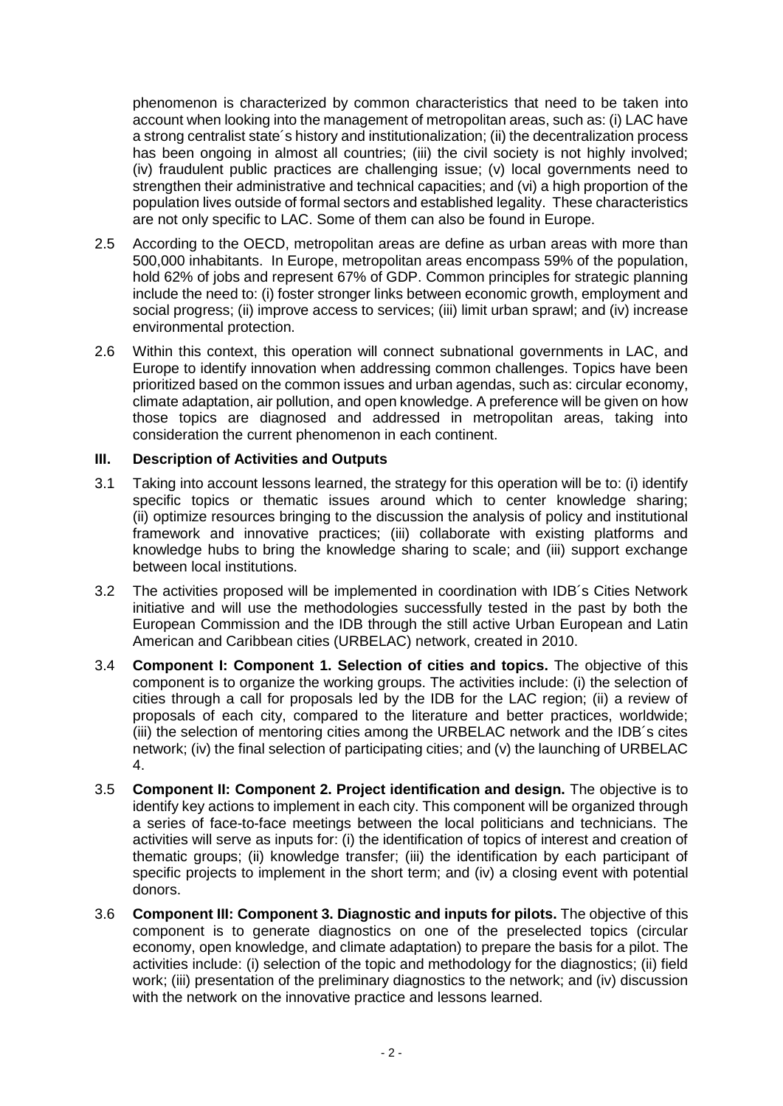phenomenon is characterized by common characteristics that need to be taken into account when looking into the management of metropolitan areas, such as: (i) LAC have a strong centralist state´s history and institutionalization; (ii) the decentralization process has been ongoing in almost all countries; (iii) the civil society is not highly involved; (iv) fraudulent public practices are challenging issue; (v) local governments need to strengthen their administrative and technical capacities; and (vi) a high proportion of the population lives outside of formal sectors and established legality. These characteristics are not only specific to LAC. Some of them can also be found in Europe.

- 2.5 According to the OECD, metropolitan areas are define as urban areas with more than 500,000 inhabitants. In Europe, metropolitan areas encompass 59% of the population, hold 62% of jobs and represent 67% of GDP. Common principles for strategic planning include the need to: (i) foster stronger links between economic growth, employment and social progress; (ii) improve access to services; (iii) limit urban sprawl; and (iv) increase environmental protection.
- 2.6 Within this context, this operation will connect subnational governments in LAC, and Europe to identify innovation when addressing common challenges. Topics have been prioritized based on the common issues and urban agendas, such as: circular economy, climate adaptation, air pollution, and open knowledge. A preference will be given on how those topics are diagnosed and addressed in metropolitan areas, taking into consideration the current phenomenon in each continent.

### **III. Description of Activities and Outputs**

- 3.1 Taking into account lessons learned, the strategy for this operation will be to: (i) identify specific topics or thematic issues around which to center knowledge sharing; (ii) optimize resources bringing to the discussion the analysis of policy and institutional framework and innovative practices; (iii) collaborate with existing platforms and knowledge hubs to bring the knowledge sharing to scale; and (iii) support exchange between local institutions.
- 3.2 The activities proposed will be implemented in coordination with IDB´s Cities Network initiative and will use the methodologies successfully tested in the past by both the European Commission and the IDB through the still active Urban European and Latin American and Caribbean cities (URBELAC) network, created in 2010.
- 3.4 **Component I: Component 1. Selection of cities and topics.** The objective of this component is to organize the working groups. The activities include: (i) the selection of cities through a call for proposals led by the IDB for the LAC region; (ii) a review of proposals of each city, compared to the literature and better practices, worldwide; (iii) the selection of mentoring cities among the URBELAC network and the IDB´s cites network; (iv) the final selection of participating cities; and (v) the launching of URBELAC 4.
- 3.5 **Component II: Component 2. Project identification and design.** The objective is to identify key actions to implement in each city. This component will be organized through a series of face-to-face meetings between the local politicians and technicians. The activities will serve as inputs for: (i) the identification of topics of interest and creation of thematic groups; (ii) knowledge transfer; (iii) the identification by each participant of specific projects to implement in the short term; and (iv) a closing event with potential donors.
- 3.6 **Component III: Component 3. Diagnostic and inputs for pilots.** The objective of this component is to generate diagnostics on one of the preselected topics (circular economy, open knowledge, and climate adaptation) to prepare the basis for a pilot. The activities include: (i) selection of the topic and methodology for the diagnostics; (ii) field work; (iii) presentation of the preliminary diagnostics to the network; and (iv) discussion with the network on the innovative practice and lessons learned.